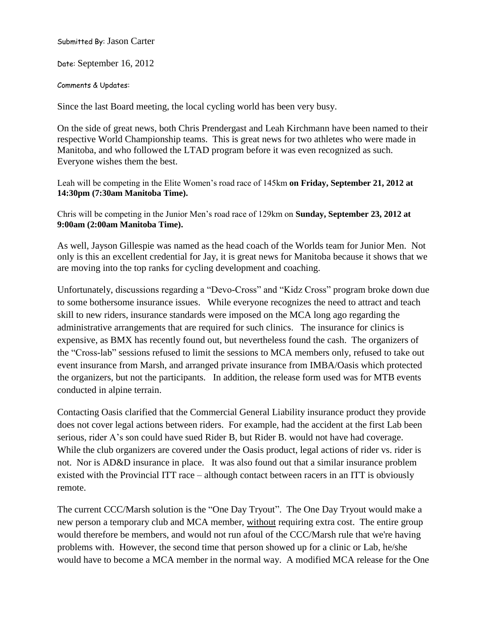Submitted By: Jason Carter

Date: September 16, 2012

Comments & Updates:

Since the last Board meeting, the local cycling world has been very busy.

On the side of great news, both Chris Prendergast and Leah Kirchmann have been named to their respective World Championship teams. This is great news for two athletes who were made in Manitoba, and who followed the LTAD program before it was even recognized as such. Everyone wishes them the best.

Leah will be competing in the Elite Women's road race of 145km **on Friday, September 21, 2012 at 14:30pm (7:30am Manitoba Time).**

Chris will be competing in the Junior Men's road race of 129km on **Sunday, September 23, 2012 at 9:00am (2:00am Manitoba Time).**

As well, Jayson Gillespie was named as the head coach of the Worlds team for Junior Men. Not only is this an excellent credential for Jay, it is great news for Manitoba because it shows that we are moving into the top ranks for cycling development and coaching.

Unfortunately, discussions regarding a "Devo-Cross" and "Kidz Cross" program broke down due to some bothersome insurance issues. While everyone recognizes the need to attract and teach skill to new riders, insurance standards were imposed on the MCA long ago regarding the administrative arrangements that are required for such clinics. The insurance for clinics is expensive, as BMX has recently found out, but nevertheless found the cash. The organizers of the "Cross-lab" sessions refused to limit the sessions to MCA members only, refused to take out event insurance from Marsh, and arranged private insurance from IMBA/Oasis which protected the organizers, but not the participants. In addition, the release form used was for MTB events conducted in alpine terrain.

Contacting Oasis clarified that the Commercial General Liability insurance product they provide does not cover legal actions between riders. For example, had the accident at the first Lab been serious, rider A's son could have sued Rider B, but Rider B. would not have had coverage. While the club organizers are covered under the Oasis product, legal actions of rider vs. rider is not. Nor is AD&D insurance in place. It was also found out that a similar insurance problem existed with the Provincial ITT race – although contact between racers in an ITT is obviously remote.

The current CCC/Marsh solution is the "One Day Tryout". The One Day Tryout would make a new person a temporary club and MCA member, without requiring extra cost. The entire group would therefore be members, and would not run afoul of the CCC/Marsh rule that we're having problems with. However, the second time that person showed up for a clinic or Lab, he/she would have to become a MCA member in the normal way. A modified MCA release for the One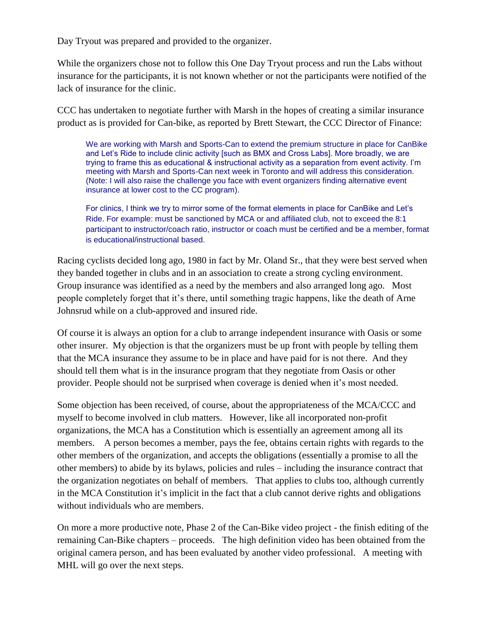Day Tryout was prepared and provided to the organizer.

While the organizers chose not to follow this One Day Tryout process and run the Labs without insurance for the participants, it is not known whether or not the participants were notified of the lack of insurance for the clinic.

CCC has undertaken to negotiate further with Marsh in the hopes of creating a similar insurance product as is provided for Can-bike, as reported by Brett Stewart, the CCC Director of Finance:

We are working with Marsh and Sports-Can to extend the premium structure in place for CanBike and Let's Ride to include clinic activity [such as BMX and Cross Labs]. More broadly, we are trying to frame this as educational & instructional activity as a separation from event activity. I'm meeting with Marsh and Sports-Can next week in Toronto and will address this consideration. (Note: I will also raise the challenge you face with event organizers finding alternative event insurance at lower cost to the CC program).

For clinics, I think we try to mirror some of the format elements in place for CanBike and Let's Ride. For example: must be sanctioned by MCA or and affiliated club, not to exceed the 8:1 participant to instructor/coach ratio, instructor or coach must be certified and be a member, format is educational/instructional based.

Racing cyclists decided long ago, 1980 in fact by Mr. Oland Sr., that they were best served when they banded together in clubs and in an association to create a strong cycling environment. Group insurance was identified as a need by the members and also arranged long ago. Most people completely forget that it's there, until something tragic happens, like the death of Arne Johnsrud while on a club-approved and insured ride.

Of course it is always an option for a club to arrange independent insurance with Oasis or some other insurer. My objection is that the organizers must be up front with people by telling them that the MCA insurance they assume to be in place and have paid for is not there. And they should tell them what is in the insurance program that they negotiate from Oasis or other provider. People should not be surprised when coverage is denied when it's most needed.

Some objection has been received, of course, about the appropriateness of the MCA/CCC and myself to become involved in club matters. However, like all incorporated non-profit organizations, the MCA has a Constitution which is essentially an agreement among all its members. A person becomes a member, pays the fee, obtains certain rights with regards to the other members of the organization, and accepts the obligations (essentially a promise to all the other members) to abide by its bylaws, policies and rules – including the insurance contract that the organization negotiates on behalf of members. That applies to clubs too, although currently in the MCA Constitution it's implicit in the fact that a club cannot derive rights and obligations without individuals who are members.

On more a more productive note, Phase 2 of the Can-Bike video project - the finish editing of the remaining Can-Bike chapters – proceeds. The high definition video has been obtained from the original camera person, and has been evaluated by another video professional. A meeting with MHL will go over the next steps.